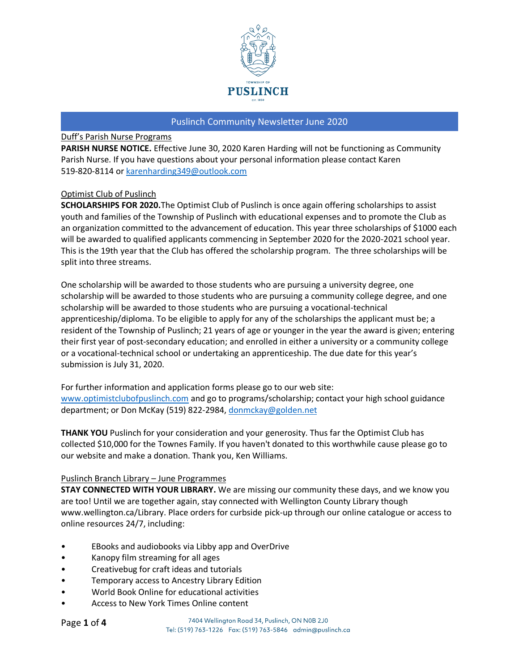

# Duff's Parish Nurse Programs

**PARISH NURSE NOTICE.** Effective June 30, 2020 Karen Harding will not be functioning as Community Parish Nurse. If you have questions about your personal information please contact Karen 519-820-8114 or [karenharding349@outlook.com](mailto:karenharding349@outlook.com)

## Optimist Club of Puslinch

**SCHOLARSHIPS FOR 2020.**The Optimist Club of Puslinch is once again offering scholarships to assist youth and families of the Township of Puslinch with educational expenses and to promote the Club as an organization committed to the advancement of education. This year three scholarships of \$1000 each will be awarded to qualified applicants commencing in September 2020 for the 2020-2021 school year. This is the 19th year that the Club has offered the scholarship program. The three scholarships will be split into three streams.

One scholarship will be awarded to those students who are pursuing a university degree, one scholarship will be awarded to those students who are pursuing a community college degree, and one scholarship will be awarded to those students who are pursuing a vocational-technical apprenticeship/diploma. To be eligible to apply for any of the scholarships the applicant must be; a resident of the Township of Puslinch; 21 years of age or younger in the year the award is given; entering their first year of post-secondary education; and enrolled in either a university or a community college or a vocational-technical school or undertaking an apprenticeship. The due date for this year's submission is July 31, 2020.

For further information and application forms please go to our web site: [www.optimistclubofpuslinch.com](http://www.optimistclubofpuslinch.com/) and go to programs/scholarship; contact your high school guidance department; or Don McKay (519) 822-2984, [donmckay@golden.net](mailto:donmckay@golden.net)

**THANK YOU** Puslinch for your consideration and your generosity. Thus far the Optimist Club has collected \$10,000 for the Townes Family. If you haven't donated to this worthwhile cause please go to our website and make a donation. Thank you, Ken Williams.

## Puslinch Branch Library – June Programmes

**STAY CONNECTED WITH YOUR LIBRARY.** We are missing our community these days, and we know you are too! Until we are together again, stay connected with Wellington County Library though www.wellington.ca/Library. Place orders for curbside pick-up through our online catalogue or access to online resources 24/7, including:

- EBooks and audiobooks via Libby app and OverDrive
- Kanopy film streaming for all ages
- Creativebug for craft ideas and tutorials
- Temporary access to Ancestry Library Edition
- World Book Online for educational activities
- Access to New York Times Online content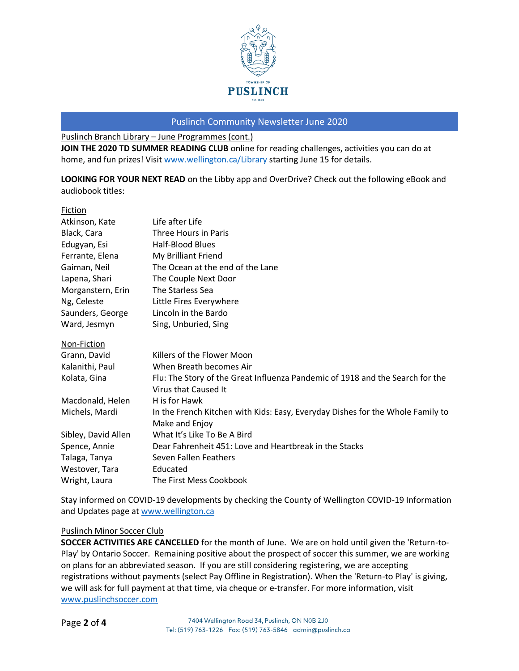

Puslinch Branch Library – June Programmes (cont.)

**JOIN THE 2020 TD SUMMER READING CLUB** online for reading challenges, activities you can do at home, and fun prizes! Visit [www.wellington.ca/Library](http://www.wellington.ca/Library) starting June 15 for details.

**LOOKING FOR YOUR NEXT READ** on the Libby app and OverDrive? Check out the following eBook and audiobook titles:

| Fiction             |                                                                                |
|---------------------|--------------------------------------------------------------------------------|
| Atkinson, Kate      | Life after Life                                                                |
| Black, Cara         | Three Hours in Paris                                                           |
| Edugyan, Esi        | <b>Half-Blood Blues</b>                                                        |
| Ferrante, Elena     | My Brilliant Friend                                                            |
| Gaiman, Neil        | The Ocean at the end of the Lane                                               |
| Lapena, Shari       | The Couple Next Door                                                           |
| Morganstern, Erin   | The Starless Sea                                                               |
| Ng, Celeste         | Little Fires Everywhere                                                        |
| Saunders, George    | Lincoln in the Bardo                                                           |
| Ward, Jesmyn        | Sing, Unburied, Sing                                                           |
| Non-Fiction         |                                                                                |
| Grann, David        | Killers of the Flower Moon                                                     |
| Kalanithi, Paul     | When Breath becomes Air                                                        |
| Kolata, Gina        | Flu: The Story of the Great Influenza Pandemic of 1918 and the Search for the  |
|                     | Virus that Caused It                                                           |
| Macdonald, Helen    | H is for Hawk                                                                  |
| Michels, Mardi      | In the French Kitchen with Kids: Easy, Everyday Dishes for the Whole Family to |
|                     | Make and Enjoy                                                                 |
| Sibley, David Allen | What It's Like To Be A Bird                                                    |
| Spence, Annie       | Dear Fahrenheit 451: Love and Heartbreak in the Stacks                         |
| Talaga, Tanya       | Seven Fallen Feathers                                                          |
| Westover, Tara      | Educated                                                                       |
| Wright, Laura       | The First Mess Cookbook                                                        |

Stay informed on COVID-19 developments by checking the County of Wellington COVID-19 Information and Updates page at [www.wellington.ca](http://www.wellington.ca/)

## Puslinch Minor Soccer Club

**SOCCER ACTIVITIES ARE CANCELLED** for the month of June. We are on hold until given the 'Return-to-Play' by Ontario Soccer. Remaining positive about the prospect of soccer this summer, we are working on plans for an abbreviated season. If you are still considering registering, we are accepting registrations without payments (select Pay Offline in Registration). When the 'Return-to Play' is giving, we will ask for full payment at that time, via cheque or e-transfer. For more information, visit [www.puslinchsoccer.com](http://www.puslinchsoccer.com/)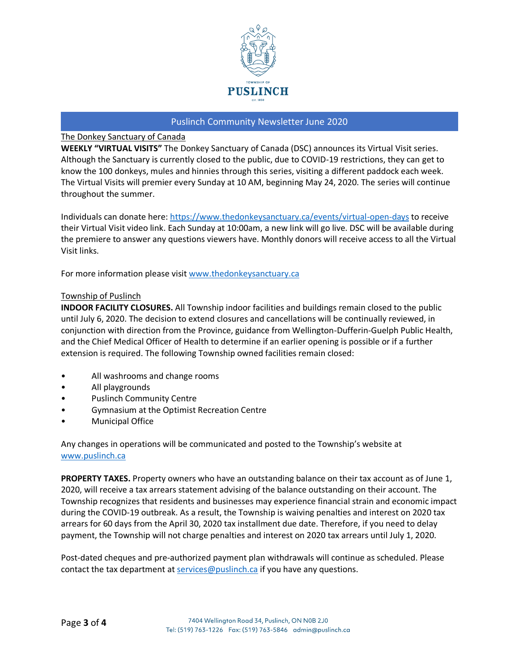

## The Donkey Sanctuary of Canada

**WEEKLY "VIRTUAL VISITS"** The Donkey Sanctuary of Canada (DSC) announces its Virtual Visit series. Although the Sanctuary is currently closed to the public, due to COVID-19 restrictions, they can get to know the 100 donkeys, mules and hinnies through this series, visiting a different paddock each week. The Virtual Visits will premier every Sunday at 10 AM, beginning May 24, 2020. The series will continue throughout the summer.

Individuals can donate here:<https://www.thedonkeysanctuary.ca/events/virtual-open-days> to receive their Virtual Visit video link. Each Sunday at 10:00am, a new link will go live. DSC will be available during the premiere to answer any questions viewers have. Monthly donors will receive access to all the Virtual Visit links.

For more information please visit [www.thedonkeysanctuary.ca](http://www.thedonkeysanctuary.ca/)

#### Township of Puslinch

**INDOOR FACILITY CLOSURES.** All Township indoor facilities and buildings remain closed to the public until July 6, 2020. The decision to extend closures and cancellations will be continually reviewed, in conjunction with direction from the Province, guidance from Wellington-Dufferin-Guelph Public Health, and the Chief Medical Officer of Health to determine if an earlier opening is possible or if a further extension is required. The following Township owned facilities remain closed:

- All washrooms and change rooms
- All playgrounds
- Puslinch Community Centre
- Gymnasium at the Optimist Recreation Centre
- Municipal Office

Any changes in operations will be communicated and posted to the Township's website at [www.puslinch.ca](http://www.puslinch.ca/)

**PROPERTY TAXES.** Property owners who have an outstanding balance on their tax account as of June 1, 2020, will receive a tax arrears statement advising of the balance outstanding on their account. The Township recognizes that residents and businesses may experience financial strain and economic impact during the COVID-19 outbreak. As a result, the Township is waiving penalties and interest on 2020 tax arrears for 60 days from the April 30, 2020 tax installment due date. Therefore, if you need to delay payment, the Township will not charge penalties and interest on 2020 tax arrears until July 1, 2020.

Post-dated cheques and pre-authorized payment plan withdrawals will continue as scheduled. Please contact the tax department at [services@puslinch.ca](mailto:services@puslinch.ca) if you have any questions.